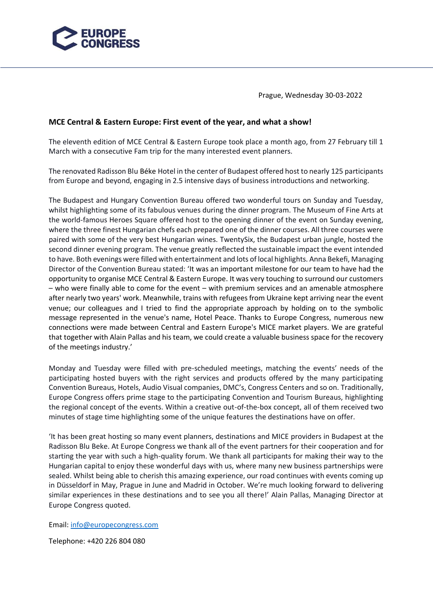

Prague, Wednesday 30-03-2022

# **MCE Central & Eastern Europe: First event of the year, and what a show!**

The eleventh edition of MCE Central & Eastern Europe took place a month ago, from 27 February till 1 March with a consecutive Fam trip for the many interested event planners.

The renovated Radisson Blu Béke Hotel in the center of Budapest offered host to nearly 125 participants from Europe and beyond, engaging in 2.5 intensive days of business introductions and networking.

The Budapest and Hungary Convention Bureau offered two wonderful tours on Sunday and Tuesday, whilst highlighting some of its fabulous venues during the dinner program. The Museum of Fine Arts at the world-famous Heroes Square offered host to the opening dinner of the event on Sunday evening, where the three finest Hungarian chefs each prepared one of the dinner courses. All three courses were paired with some of the very best Hungarian wines. TwentySix, the Budapest urban jungle, hosted the second dinner evening program. The venue greatly reflected the sustainable impact the event intended to have. Both evenings were filled with entertainment and lots of local highlights. Anna Bekefi, Managing Director of the Convention Bureau stated: 'It was an important milestone for our team to have had the opportunity to organise MCE Central & Eastern Europe. It was very touching to surround our customers – who were finally able to come for the event – with premium services and an amenable atmosphere after nearly two years' work. Meanwhile, trains with refugees from Ukraine kept arriving near the event venue; our colleagues and I tried to find the appropriate approach by holding on to the symbolic message represented in the venue's name, Hotel Peace. Thanks to Europe Congress, numerous new connections were made between Central and Eastern Europe's MICE market players. We are grateful that together with Alain Pallas and his team, we could create a valuable business space for the recovery of the meetings industry.'

Monday and Tuesday were filled with pre-scheduled meetings, matching the events' needs of the participating hosted buyers with the right services and products offered by the many participating Convention Bureaus, Hotels, Audio Visual companies, DMC's, Congress Centers and so on. Traditionally, Europe Congress offers prime stage to the participating Convention and Tourism Bureaus, highlighting the regional concept of the events. Within a creative out-of-the-box concept, all of them received two minutes of stage time highlighting some of the unique features the destinations have on offer.

'It has been great hosting so many event planners, destinations and MICE providers in Budapest at the Radisson Blu Beke. At Europe Congress we thank all of the event partners for their cooperation and for starting the year with such a high-quality forum. We thank all participants for making their way to the Hungarian capital to enjoy these wonderful days with us, where many new business partnerships were sealed. Whilst being able to cherish this amazing experience, our road continues with events coming up in Düsseldorf in May, Prague in June and Madrid in October. We're much looking forward to delivering similar experiences in these destinations and to see you all there!' Alain Pallas, Managing Director at Europe Congress quoted.

Email: [info@europecongress.com](mailto:info@europecongress.com)

Telephone: +420 226 804 080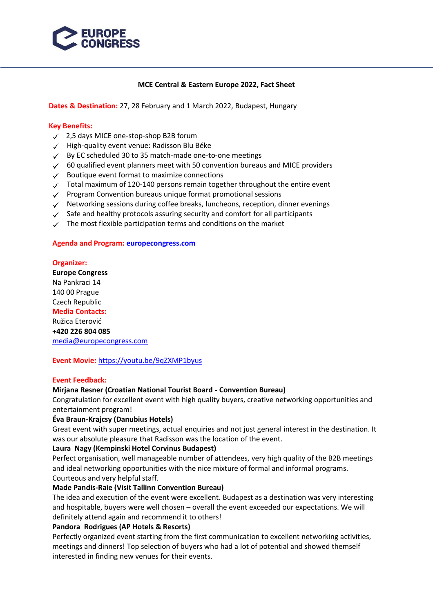

## **MCE Central & Eastern Europe 2022, Fact Sheet**

**Dates & Destination:** 27, 28 February and 1 March 2022, Budapest, Hungary

## **Key Benefits:**

- $\checkmark$  2,5 days MICE one-stop-shop B2B forum
- $\checkmark$  High-quality event venue: Radisson Blu Béke
- $\checkmark$  By EC scheduled 30 to 35 match-made one-to-one meetings
- $\checkmark$  60 qualified event planners meet with 50 convention bureaus and MICE providers
- $\checkmark$  Boutique event format to maximize connections
- $\checkmark$  Total maximum of 120-140 persons remain together throughout the entire event
- $\checkmark$  Program Convention bureaus unique format promotional sessions
- $\checkmark$  Networking sessions during coffee breaks, luncheons, reception, dinner evenings
- $\checkmark$  Safe and healthy protocols assuring security and comfort for all participants
- $\checkmark$  The most flexible participation terms and conditions on the market

#### **Agenda and Program[: europecongress.com](http://www.europecongress.com/)**

### **Organizer:**

**Europe Congress** Na Pankraci 14 140 00 Prague Czech Republic **Media Contacts:** Ružica Eterović **+420 226 804 085**

[media@europecongress.com](mailto:media@europecongress.com)

**Event Movie:** <https://youtu.be/9qZXMP1byus>

#### **Event Feedback:**

#### **Mirjana Resner (Croatian National Tourist Board - Convention Bureau)**

Congratulation for excellent event with high quality buyers, creative networking opportunities and entertainment program!

#### **Éva Braun-Krajcsy (Danubius Hotels)**

Great event with super meetings, actual enquiries and not just general interest in the destination. It was our absolute pleasure that Radisson was the location of the event.

#### **Laura Nagy (Kempinski Hotel Corvinus Budapest)**

Perfect organisation, well manageable number of attendees, very high quality of the B2B meetings and ideal networking opportunities with the nice mixture of formal and informal programs. Courteous and very helpful staff.

#### **Made Pandis-Raie (Visit Tallinn Convention Bureau)**

The idea and execution of the event were excellent. Budapest as a destination was very interesting and hospitable, buyers were well chosen – overall the event exceeded our expectations. We will definitely attend again and recommend it to others!

#### **Pandora Rodrigues (AP Hotels & Resorts)**

Perfectly organized event starting from the first communication to excellent networking activities, meetings and dinners! Top selection of buyers who had a lot of potential and showed themself interested in finding new venues for their events.